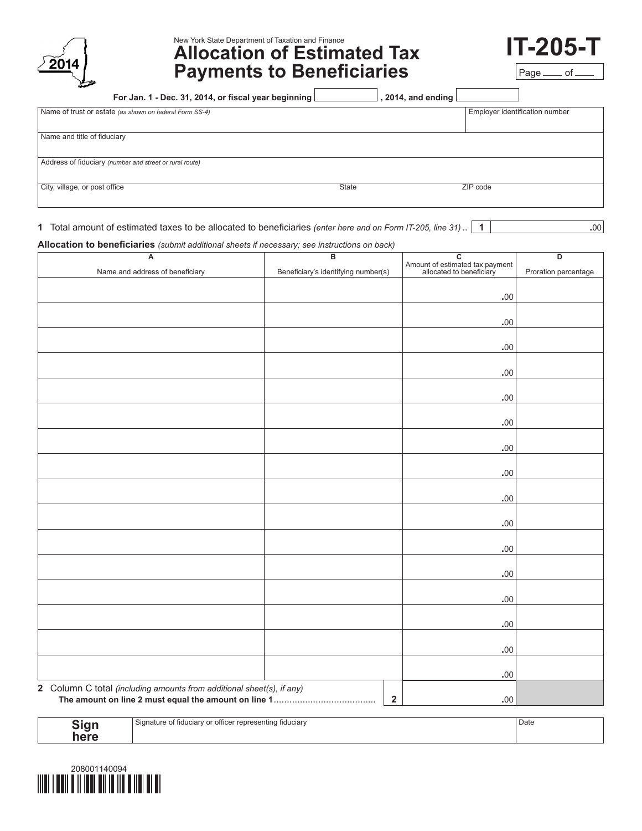## New York State Department of Taxation and Finance

# **Allocation of Estimated Tax Payments to Beneficiaries**

Page \_\_\_\_ of

**IT-205-T**

| For Jan. 1 - Dec. 31, 2014, or fiscal year beginning    | , 2014, and ending $\lfloor$ |                                |  |
|---------------------------------------------------------|------------------------------|--------------------------------|--|
| Name of trust or estate (as shown on federal Form SS-4) |                              | Employer identification number |  |
|                                                         |                              |                                |  |
| Name and title of fiduciary                             |                              |                                |  |
| Address of fiduciary (number and street or rural route) |                              |                                |  |
| City, village, or post office<br>State                  |                              | ZIP code                       |  |

**1** Total amount of estimated taxes to be allocated to beneficiaries *(enter here and on Form IT-205, line 31)* .. **1 1** ...

**Allocation to beneficiaries** *(submit additional sheets if necessary; see instructions on back)*

| A                                                                     | $\overline{\mathsf{B}}$             | $\overline{\mathsf{c}}$                                     | D                    |
|-----------------------------------------------------------------------|-------------------------------------|-------------------------------------------------------------|----------------------|
| Name and address of beneficiary                                       | Beneficiary's identifying number(s) | Amount of estimated tax payment<br>allocated to beneficiary | Proration percentage |
|                                                                       |                                     |                                                             |                      |
|                                                                       |                                     | .00                                                         |                      |
|                                                                       |                                     |                                                             |                      |
|                                                                       |                                     | $.00$                                                       |                      |
|                                                                       |                                     |                                                             |                      |
|                                                                       |                                     | $.00$                                                       |                      |
|                                                                       |                                     |                                                             |                      |
|                                                                       |                                     | $.00$                                                       |                      |
|                                                                       |                                     | $.00$                                                       |                      |
|                                                                       |                                     |                                                             |                      |
|                                                                       |                                     | .00                                                         |                      |
|                                                                       |                                     |                                                             |                      |
|                                                                       |                                     | $.00$                                                       |                      |
|                                                                       |                                     |                                                             |                      |
|                                                                       |                                     | $.00$                                                       |                      |
|                                                                       |                                     |                                                             |                      |
|                                                                       |                                     | $.00$                                                       |                      |
|                                                                       |                                     |                                                             |                      |
|                                                                       |                                     | $.00$                                                       |                      |
|                                                                       |                                     | .00                                                         |                      |
|                                                                       |                                     |                                                             |                      |
|                                                                       |                                     | $.00$                                                       |                      |
|                                                                       |                                     |                                                             |                      |
|                                                                       |                                     | $.00$                                                       |                      |
|                                                                       |                                     |                                                             |                      |
|                                                                       |                                     | $.00$                                                       |                      |
|                                                                       |                                     |                                                             |                      |
|                                                                       |                                     | .00                                                         |                      |
|                                                                       |                                     |                                                             |                      |
|                                                                       |                                     | $.00$                                                       |                      |
| 2 Column C total (including amounts from additional sheet(s), if any) |                                     |                                                             |                      |
|                                                                       | $\mathbf 2$                         | .00.                                                        |                      |

| ৲ign | l Signature of fiduciary or officer representing fiduciary | Date |
|------|------------------------------------------------------------|------|
| here |                                                            |      |